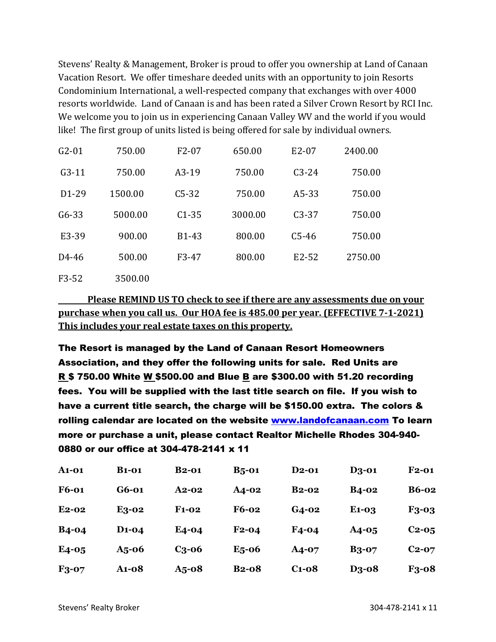Stevens' Realty & Management, Broker is proud to offer you ownership at Land of Canaan Vacation Resort. We offer timeshare deeded units with an opportunity to join Resorts Condominium International, a well-respected company that exchanges with over 4000 resorts worldwide. Land of Canaan is and has been rated a Silver Crown Resort by RCI Inc. We welcome you to join us in experiencing Canaan Valley WV and the world if you would like! The first group of units listed is being offered for sale by individual owners.

| $G2-01$            | 750.00  | $F2-07$ | 650.00  | E2-07                          | 2400.00 |
|--------------------|---------|---------|---------|--------------------------------|---------|
| $G3-11$            | 750.00  | $A3-19$ | 750.00  | $C3-24$                        | 750.00  |
| D <sub>1</sub> -29 | 1500.00 | $C5-32$ | 750.00  | $A5-33$                        | 750.00  |
| $G6 - 33$          | 5000.00 | $C1-35$ | 3000.00 | $C3-37$                        | 750.00  |
| E3-39              | 900.00  | B1-43   | 800.00  | $C5-46$                        | 750.00  |
| D <sub>4</sub> -46 | 500.00  | F3-47   | 800.00  | E <sub>2</sub> -5 <sub>2</sub> | 2750.00 |
| F3-52              | 3500.00 |         |         |                                |         |

**Please REMIND US TO check to see if there are any assessments due on your purchase when you call us. Our HOA fee is 485.00 per year. (EFFECTIVE 7-1-2021) This includes your real estate taxes on this property.** 

The Resort is managed by the Land of Canaan Resort Homeowners Association, and they offer the following units for sale. Red Units are R \$ 750.00 White W \$500.00 and Blue B are \$300.00 with 51.20 recording fees. You will be supplied with the last title search on file. If you wish to have a current title search, the charge will be \$150.00 extra. The colors & rolling calendar are located on the website [www.landofcanaan.com](http://www.landofcanaan.com/) To learn more or purchase a unit, please contact Realtor Michelle Rhodes 304-940- 0880 or our office at 304-478-2141 x 11

| <b>A1-01</b> | <b>B</b> 1-01      | <b>B2-01</b> | $B5$ -01     | <b>D2-01</b> | <b>D3-01</b>                   | $F2-01$      |
|--------------|--------------------|--------------|--------------|--------------|--------------------------------|--------------|
| <b>F6-01</b> | G6-01              | $A2-02$      | <b>A4-02</b> | $B2-02$      | <b>B4-02</b>                   | <b>B6-02</b> |
| $E2-02$      | E3-02              | $F1-02$      | <b>F6-02</b> | $G_4$ -02    | E <sub>1</sub> -0 <sub>3</sub> | <b>F3-03</b> |
| <b>B4-04</b> | D <sub>1</sub> -04 | E4-04        | $F2-04$      | F4-04        | $A4-05$                        | $C_{2-0,5}$  |
| $E4-05$      | $A5$ -06           | $C3$ -06     | $E_5$ -06    | $A4-07$      | <b>B3-07</b>                   | $C2-07$      |
| F3-07        | <b>A1-08</b>       | $A5$ -08     | <b>B2-08</b> | $C1 - 08$    | D <sub>3</sub> -08             | F3-08        |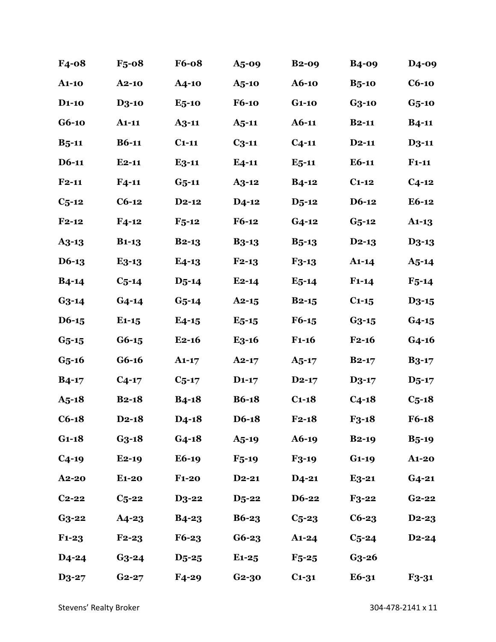| F4-08                          | $F_5$ -08    | <b>F6-08</b> | $A5$ -09     | $B2-09$      | <b>B4-09</b> | D <sub>4</sub> -09 |
|--------------------------------|--------------|--------------|--------------|--------------|--------------|--------------------|
| <b>A1-10</b>                   | $A2-10$      | $A4$ -10     | $A5$ -10     | A6-10        | $B5$ -10     | $C6-10$            |
| <b>D<sub>1</sub>-10</b>        | <b>D3-10</b> | $E_5$ -10    | <b>F6-10</b> | $G1-10$      | $G3-10$      | $G5$ -10           |
| $G6-10$                        | $A1-11$      | $A3-11$      | $A_{5} - 11$ | $A6-11$      | $B2-11$      | $B4-11$            |
| $B_{5} - 11$                   | $B6-11$      | $C_{1-11}$   | $C_{3}$ -11  | $C_{4-11}$   | $D2-11$      | $D3-11$            |
| $D6-11$                        | $E2-11$      | $E3-11$      | $E4-11$      | $E_{5}$ -11  | $E6-11$      | $F1-11$            |
| $F2-11$                        | $F_{4-11}$   | $G_{5}$ -11  | $A3-12$      | $B4-12$      | $C_{1-12}$   | $C_{4-12}$         |
| $C_{5-12}$                     | $C6-12$      | $D2-12$      | $D4$ -12     | $D_{5} - 12$ | D6-12        | $E6-12$            |
| $F2-12$                        | $F4-12$      | $F_{5-12}$   | $F6-12$      | $G_4-12$     | $G_5 - 12$   | $A1-13$            |
| A <sub>3</sub> -1 <sub>3</sub> | $B1-13$      | $B2-13$      | <b>B3-13</b> | $B_{5-13}$   | $D2-13$      | <b>D3-13</b>       |
| $D6-13$                        | $E3-13$      | $E4-13$      | $F_{2-1,3}$  | $F3-13$      | $A1-14$      | $A_{5-14}$         |
| $B4-14$                        | $C_{5-14}$   | $D_{5-14}$   | $E2-14$      | $E_5-14$     | $F1-14$      | $F_{5-14}$         |
| $G_3 - 14$                     | $G_4 - 14$   | $G_{5-14}$   | $A2-15$      | $B2-15$      | $C1-15$      | $D3-15$            |
| $D6-15$                        | $E1-15$      | $E4-15$      | $E_5-15$     | $F6-15$      | $G3-15$      | $G4-15$            |
| $G5 - 15$                      | $G6-15$      | $E2-16$      | $E3-16$      | $F1-16$      | $F2-16$      | $G4-16$            |
| $G5$ -16                       | $G6-16$      | $A1-17$      | $A2-17$      | $A_{5-17}$   | $B2-17$      | $B3-17$            |
| $B4-17$                        | $C_{4-17}$   | $C_{5-17}$   | $D1-17$      | $D2-17$      | $D3-17$      | $D_{5-17}$         |
| $A_{5-18}$                     | $B2-18$      | $B4-18$      | <b>B6-18</b> | $C1-18$      | $C4-18$      | $C_{5-18}$         |
| $C6-18$                        | $D_{2-18}$   | $D4-18$      | D6-18        | $F2-18$      | $F3-18$      | $F6-18$            |
| $G1-18$                        | $G3$ -18     | $G_4 - 18$   | $A_{5-19}$   | $A6-19$      | $B2-19$      | $B_{5-19}$         |
| $C_{4-19}$                     | $E2-19$      | <b>E6-19</b> | $F_{5-19}$   | $F3-19$      | $G1-19$      | $A1-20$            |
| <b>A2-20</b>                   | $E1-20$      | $F1-20$      | $D_2-21$     | $D_4-21$     | $E3-21$      | $G_4-21$           |
| $C_{2-22}$                     | $C_{5-22}$   | <b>D3-22</b> | $D_5$ -22    | <b>D6-22</b> | $F3-22$      | $G_{2-22}$         |
| $G3-22$                        | <b>A4-23</b> | $B_4 - 23$   | <b>B6-23</b> | $C_{5-23}$   | $C6-23$      | D <sub>2</sub> -23 |
| $F1-23$                        | $F_{2-23}$   | F6-23        | $G6-23$      | $A1-24$      | $C_{5-24}$   | $D2-24$            |
| <b>D4-24</b>                   | $G_3 - 24$   | $D_5$ -25    | $E1-25$      | $F_{5-25}$   | $G3$ -26     |                    |
| <b>D3-27</b>                   | $G_{2-27}$   | F4-29        | $G_2 - 30$   | $C_{1-31}$   | E6-31        | <b>F3-31</b>       |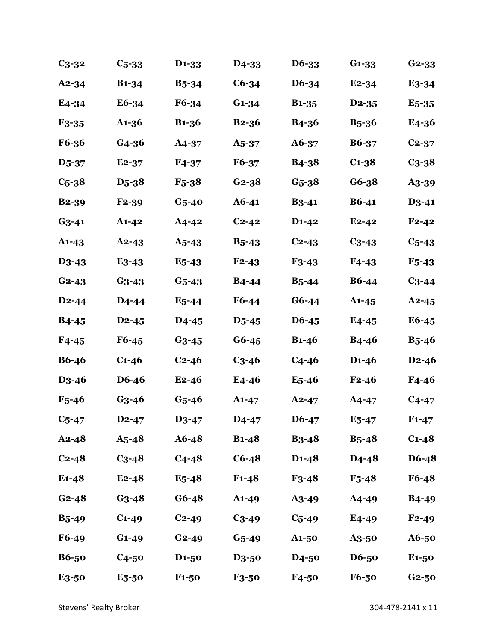| $C_3-32$           | $C_{5-33}$         | D <sub>1</sub> -33        | D <sub>4</sub> -33 | D6-33                     | $G1-33$            | $G2-33$            |
|--------------------|--------------------|---------------------------|--------------------|---------------------------|--------------------|--------------------|
| $A2 - 34$          | <b>B1-34</b>       | <b>B</b> <sub>5</sub> -34 | $C6-34$            | D6-34                     | $E2-34$            | E <sub>3</sub> -34 |
| E <sub>4</sub> -34 | E6-34              | $F6 - 34$                 | $G1-34$            | <b>B1-35</b>              | $D2-35$            | $E5-35$            |
| F <sub>3</sub> -35 | A1-36              | <b>B1-36</b>              | $B2-36$            | <b>B4-36</b>              | $B_{5-36}$         | E4-36              |
| <b>F6-36</b>       | G4-36              | A4-37                     | A5-37              | A6-37                     | <b>B6-37</b>       | $C_{2-37}$         |
| D <sub>5</sub> -37 | $E2-37$            | $F4-37$                   | F6-37              | <b>B</b> <sub>4</sub> -38 | $C1-38$            | $C_{3-38}$         |
| $C5-38$            | D <sub>5</sub> -38 | $F_{5-38}$                | $G_2 - 38$         | $G_{5-38}$                | $G6-38$            | A <sub>3</sub> -39 |
| <b>B2-39</b>       | $F2-39$            | $G5$ -40                  | $A6 - 41$          | $B_3 - 41$                | $B6-41$            | $D3-41$            |
| $G_3 - 41$         | $A1 - 42$          | A4-42                     | $C_{2-42}$         | $D1-42$                   | $E_{2-42}$         | $F_{2-42}$         |
| $A1-43$            | $A2 - 43$          | $A5 - 43$                 | $B_{5-43}$         | $C2-43$                   | $C_{3-43}$         | $C5 - 43$          |
| D <sub>3</sub> -43 | $E3-43$            | $E5 - 43$                 | $F2-43$            | $F3-43$                   | $F4-43$            | $F_{5-43}$         |
| $G_{2-43}$         | $G_3 - 43$         | $G5 - 43$                 | $B4-44$            | $B_{5-44}$                | <b>B6-44</b>       | $C_{3-44}$         |
| $D2-44$            | D <sub>4</sub> -44 | $E5 - 44$                 | F6-44              | $G6-44$                   | $A1-45$            | $A2-45$            |
| $B4-45$            | $D2-45$            | D <sub>4</sub> -45        | $D5 - 45$          | D6-45                     | $E4-45$            | E6-45              |
| $F4-45$            | F6-45              | $G_3 - 45$                | $G6-45$            | $B1-46$                   | $B4 - 46$          | $B_{5-46}$         |
| <b>B6-46</b>       | $C1 - 46$          | $C2-46$                   | $C3 - 46$          | $C4-46$                   | $D1 - 46$          | $D2-46$            |
| D <sub>3</sub> -46 | D6-46              | $E2-46$                   | E4-46              | $E5 - 46$                 | $F_{2-46}$         | $F4 - 46$          |
| $F_{5-46}$         | $G_3 - 46$         | $G_{5-46}$                | $A1-47$            | $A2 - 47$                 | $A4 - 47$          | $C_{4-47}$         |
| $C5$ -47           | $D2 - 47$          | $D3-47$                   | D <sub>4</sub> -47 | $D6-47$                   | $E5$ -47           | $F1 - 47$          |
| $A2 - 48$          | $A5 - 48$          | $A6 - 48$                 | $B1-48$            | $B_3 - 48$                | $B_5 - 48$         | $C_{1-48}$         |
| $C_{2-48}$         | $C_{3-48}$         | $C_{4-48}$                | $C6-48$            | $D1-48$                   | D <sub>4</sub> -48 | D6-48              |
| $E1-48$            | $E2-48$            | $E_5 - 48$                | $F1 - 48$          | $F3-48$                   | $F_{5-48}$         | F6-48              |
| $G_{2-48}$         | $G_3 - 48$         | $G6 - 48$                 | <b>A1-49</b>       | A <sub>3</sub> -49        | A4-49              | <b>B4-49</b>       |
| $B_{5-49}$         | $C1-49$            | $C_{2-49}$                | $C_{3-49}$         | $C_{5-49}$                | E4-49              | $F2-49$            |
| $F6-49$            | $G1 - 49$          | $G_{2-49}$                | $G_{5-49}$         | $A1-50$                   | <b>A3-50</b>       | A6-50              |
| <b>B6-50</b>       | $C4-50$            | D <sub>1</sub> -50        | <b>D3-50</b>       | <b>D4-50</b>              | <b>D6-50</b>       | E <sub>1</sub> -50 |
| E3-50              | $E5-50$            | $F1-50$                   | <b>F3-50</b>       | $F4-50$                   | $F6-50$            | $G2-50$            |